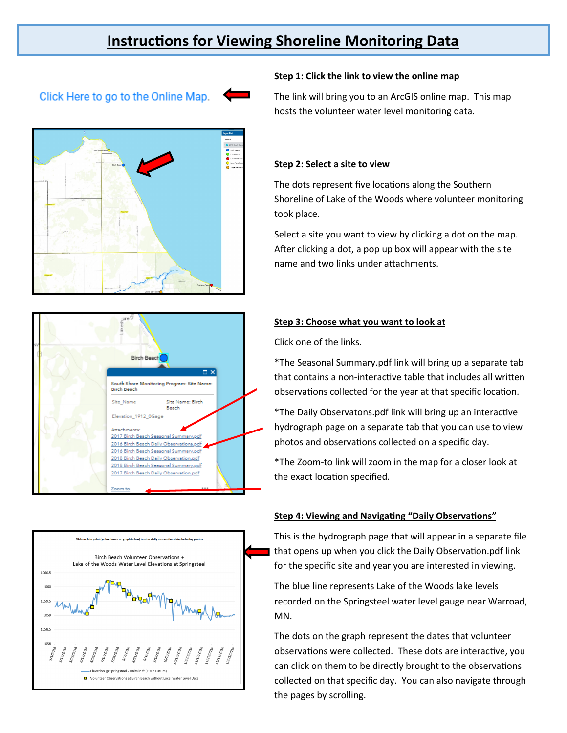# **Instructions for Viewing Shoreline Monitoring Data**

# Click Here to go to the Online Map.









### **Step 1: Click the link to view the online map**

The link will bring you to an ArcGIS online map. This map hosts the volunteer water level monitoring data.

## **Step 2: Select a site to view**

The dots represent five locations along the Southern Shoreline of Lake of the Woods where volunteer monitoring took place.

Select a site you want to view by clicking a dot on the map. After clicking a dot, a pop up box will appear with the site name and two links under attachments.

#### **Step 3: Choose what you want to look at**

Click one of the links.

\*The Seasonal Summary.pdf link will bring up a separate tab that contains a non-interactive table that includes all written observations collected for the year at that specific location.

\*The Daily Observatons.pdf link will bring up an interactive hydrograph page on a separate tab that you can use to view photos and observations collected on a specific day.

\*The Zoom-to link will zoom in the map for a closer look at the exact location specified.

#### **Step 4: Viewing and Navigating "Daily Observations"**

This is the hydrograph page that will appear in a separate file that opens up when you click the Daily Observation.pdf link for the specific site and year you are interested in viewing.

The blue line represents Lake of the Woods lake levels recorded on the Springsteel water level gauge near Warroad, MN.

The dots on the graph represent the dates that volunteer observations were collected. These dots are interactive, you can click on them to be directly brought to the observations collected on that specific day. You can also navigate through the pages by scrolling.